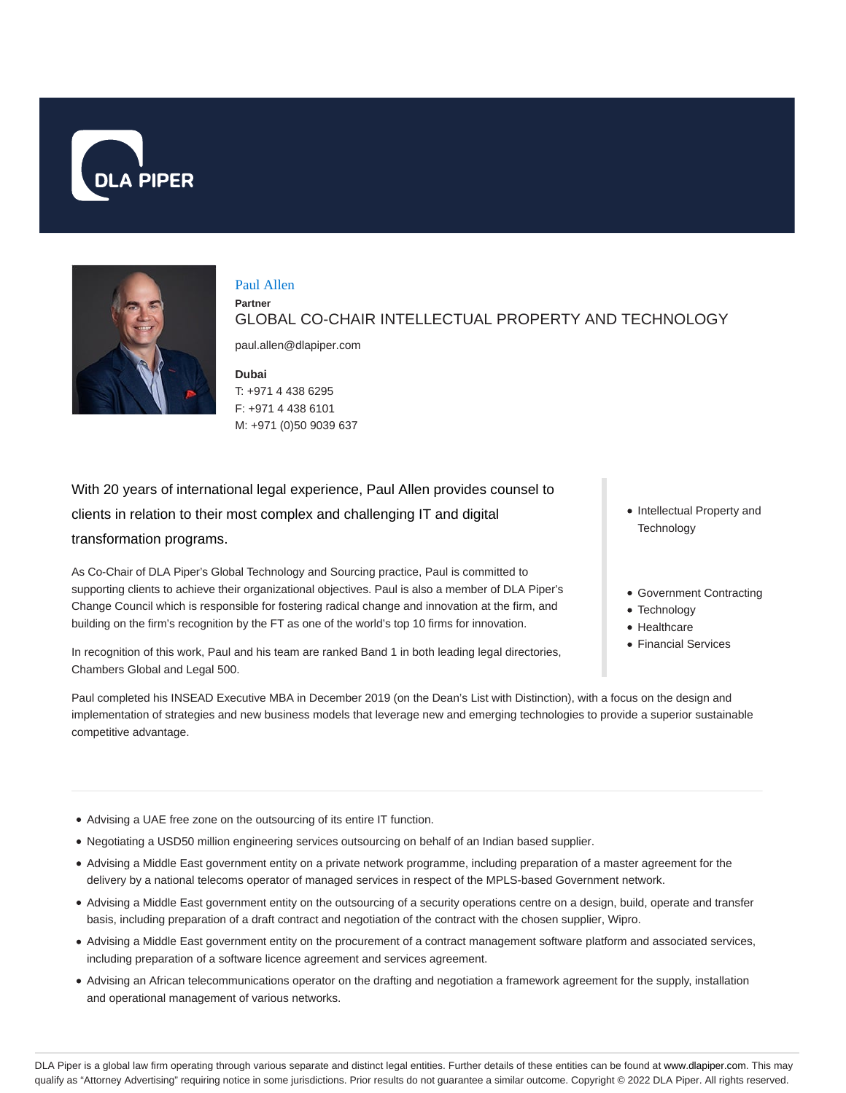



# Paul Allen **Partner** GLOBAL CO-CHAIR INTELLECTUAL PROPERTY AND TECHNOLOGY

paul.allen@dlapiper.com

### **Dubai**

T: +971 4 438 6295 F: +971 4 438 6101 M: +971 (0)50 9039 637

With 20 years of international legal experience, Paul Allen provides counsel to clients in relation to their most complex and challenging IT and digital transformation programs.

As Co-Chair of DLA Piper's Global Technology and Sourcing practice, Paul is committed to supporting clients to achieve their organizational objectives. Paul is also a member of DLA Piper's Change Council which is responsible for fostering radical change and innovation at the firm, and building on the firm's recognition by the FT as one of the world's top 10 firms for innovation.

In recognition of this work, Paul and his team are ranked Band 1 in both leading legal directories, Chambers Global and Legal 500.

- Intellectual Property and **Technology**
- Government Contracting
- Technology
- Healthcare
- Financial Services

Paul completed his INSEAD Executive MBA in December 2019 (on the Dean's List with Distinction), with a focus on the design and implementation of strategies and new business models that leverage new and emerging technologies to provide a superior sustainable competitive advantage.

- Advising a UAE free zone on the outsourcing of its entire IT function.
- Negotiating a USD50 million engineering services outsourcing on behalf of an Indian based supplier.
- Advising a Middle East government entity on a private network programme, including preparation of a master agreement for the delivery by a national telecoms operator of managed services in respect of the MPLS-based Government network.
- Advising a Middle East government entity on the outsourcing of a security operations centre on a design, build, operate and transfer basis, including preparation of a draft contract and negotiation of the contract with the chosen supplier, Wipro.
- Advising a Middle East government entity on the procurement of a contract management software platform and associated services, including preparation of a software licence agreement and services agreement.
- Advising an African telecommunications operator on the drafting and negotiation a framework agreement for the supply, installation and operational management of various networks.

DLA Piper is a global law firm operating through various separate and distinct legal entities. Further details of these entities can be found at www.dlapiper.com. This may qualify as "Attorney Advertising" requiring notice in some jurisdictions. Prior results do not guarantee a similar outcome. Copyright © 2022 DLA Piper. All rights reserved.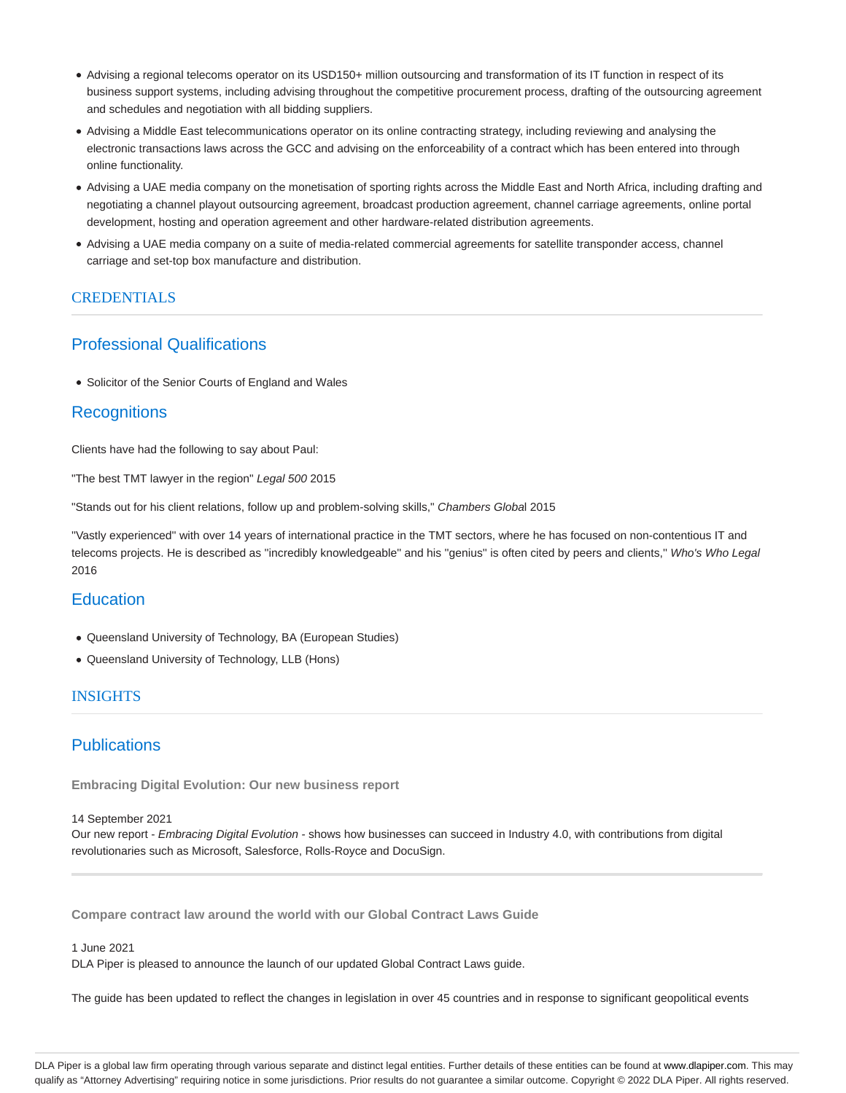- Advising a regional telecoms operator on its USD150+ million outsourcing and transformation of its IT function in respect of its business support systems, including advising throughout the competitive procurement process, drafting of the outsourcing agreement and schedules and negotiation with all bidding suppliers.
- Advising a Middle East telecommunications operator on its online contracting strategy, including reviewing and analysing the electronic transactions laws across the GCC and advising on the enforceability of a contract which has been entered into through online functionality.
- Advising a UAE media company on the monetisation of sporting rights across the Middle East and North Africa, including drafting and negotiating a channel playout outsourcing agreement, broadcast production agreement, channel carriage agreements, online portal development, hosting and operation agreement and other hardware-related distribution agreements.
- Advising a UAE media company on a suite of media-related commercial agreements for satellite transponder access, channel carriage and set-top box manufacture and distribution.

## **CREDENTIALS**

# Professional Qualifications

Solicitor of the Senior Courts of England and Wales

## **Recognitions**

Clients have had the following to say about Paul:

"The best TMT lawyer in the region" Legal 500 2015

"Stands out for his client relations, follow up and problem-solving skills," Chambers Global 2015

''Vastly experienced'' with over 14 years of international practice in the TMT sectors, where he has focused on non-contentious IT and telecoms projects. He is described as "incredibly knowledgeable" and his "genius" is often cited by peers and clients," Who's Who Legal 2016

# **Education**

- Queensland University of Technology, BA (European Studies)
- Queensland University of Technology, LLB (Hons)

## INSIGHTS

# **Publications**

**Embracing Digital Evolution: Our new business report**

### 14 September 2021

Our new report - Embracing Digital Evolution - shows how businesses can succeed in Industry 4.0, with contributions from digital revolutionaries such as Microsoft, Salesforce, Rolls-Royce and DocuSign.

**Compare contract law around the world with our Global Contract Laws Guide**

### 1 June 2021

DLA Piper is pleased to announce the launch of our updated Global Contract Laws guide.

The guide has been updated to reflect the changes in legislation in over 45 countries and in response to significant geopolitical events

DLA Piper is a global law firm operating through various separate and distinct legal entities. Further details of these entities can be found at www.dlapiper.com. This may qualify as "Attorney Advertising" requiring notice in some jurisdictions. Prior results do not guarantee a similar outcome. Copyright @ 2022 DLA Piper. All rights reserved.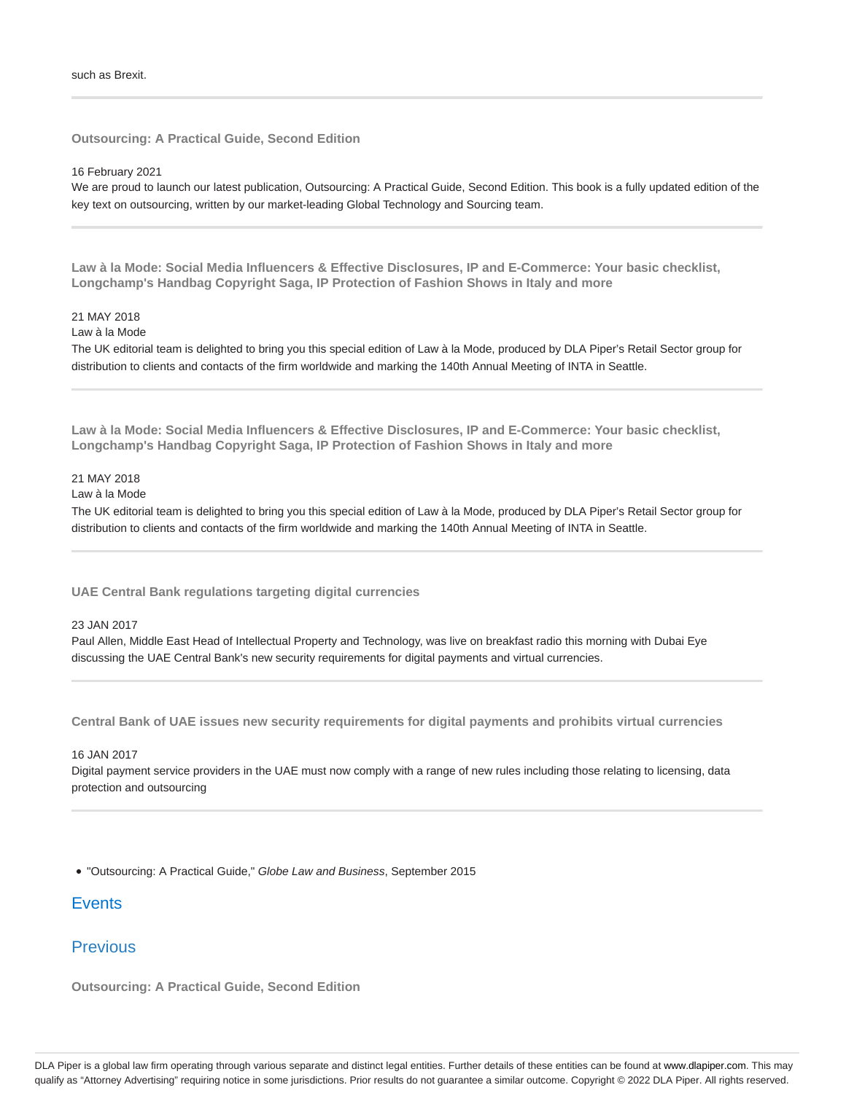**Outsourcing: A Practical Guide, Second Edition**

16 February 2021

We are proud to launch our latest publication, Outsourcing: A Practical Guide, Second Edition. This book is a fully updated edition of the key text on outsourcing, written by our market-leading Global Technology and Sourcing team.

**Law à la Mode: Social Media Influencers & Effective Disclosures, IP and E-Commerce: Your basic checklist, Longchamp's Handbag Copyright Saga, IP Protection of Fashion Shows in Italy and more**

### 21 MAY 2018

Law à la Mode

The UK editorial team is delighted to bring you this special edition of Law à la Mode, produced by DLA Piper's Retail Sector group for distribution to clients and contacts of the firm worldwide and marking the 140th Annual Meeting of INTA in Seattle.

**Law à la Mode: Social Media Influencers & Effective Disclosures, IP and E-Commerce: Your basic checklist, Longchamp's Handbag Copyright Saga, IP Protection of Fashion Shows in Italy and more**

## 21 MAY 2018

Law à la Mode

The UK editorial team is delighted to bring you this special edition of Law à la Mode, produced by DLA Piper's Retail Sector group for distribution to clients and contacts of the firm worldwide and marking the 140th Annual Meeting of INTA in Seattle.

**UAE Central Bank regulations targeting digital currencies**

### 23 JAN 2017

Paul Allen, Middle East Head of Intellectual Property and Technology, was live on breakfast radio this morning with Dubai Eye discussing the UAE Central Bank's new security requirements for digital payments and virtual currencies.

**Central Bank of UAE issues new security requirements for digital payments and prohibits virtual currencies**

#### 16 JAN 2017

Digital payment service providers in the UAE must now comply with a range of new rules including those relating to licensing, data protection and outsourcing

"Outsourcing: A Practical Guide," Globe Law and Business, September 2015

# **Events**

## **Previous**

**Outsourcing: A Practical Guide, Second Edition**

DLA Piper is a global law firm operating through various separate and distinct legal entities. Further details of these entities can be found at www.dlapiper.com. This may qualify as "Attorney Advertising" requiring notice in some jurisdictions. Prior results do not guarantee a similar outcome. Copyright @ 2022 DLA Piper. All rights reserved.